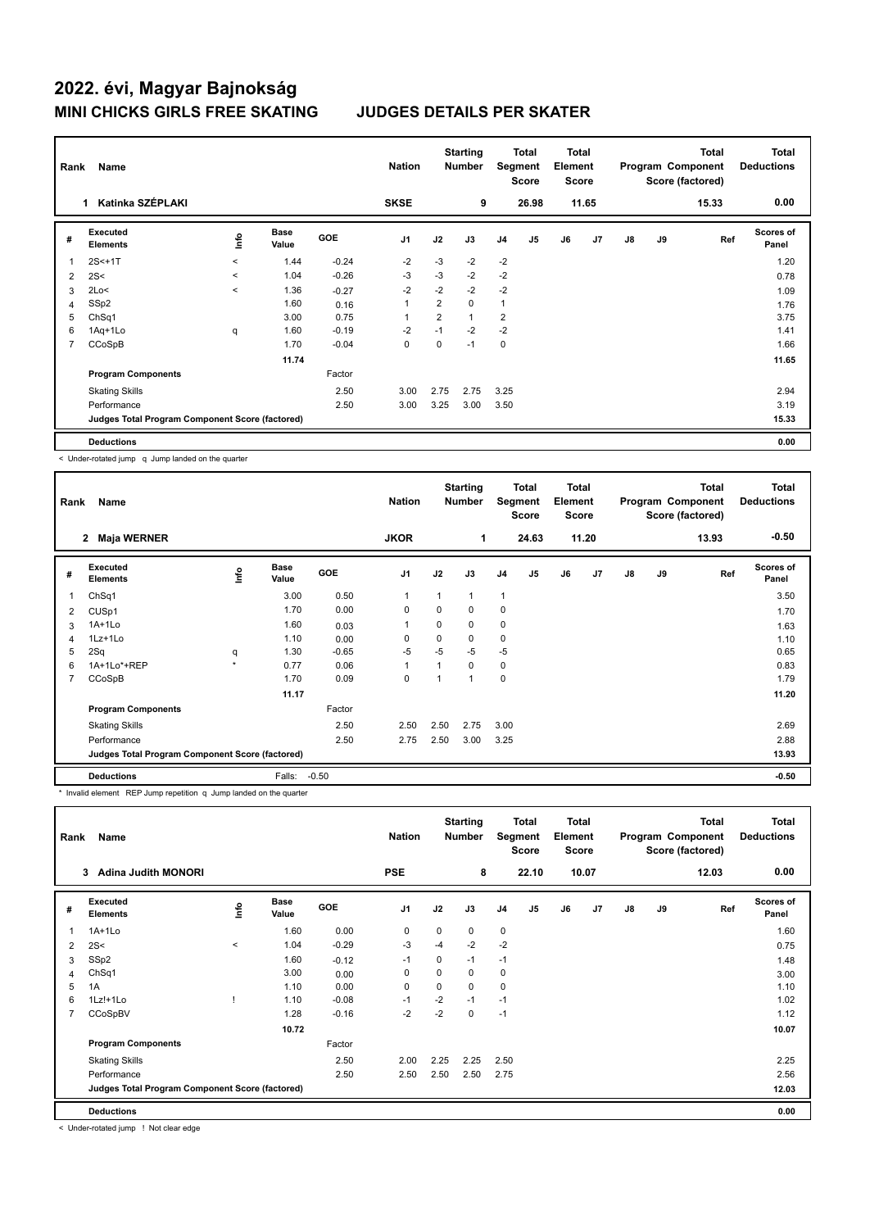| Rank                    | Name                                            |         |                      |         | <b>Nation</b>  |                | <b>Starting</b><br><b>Number</b> | Segment        | Total<br><b>Score</b> | Total<br>Element<br><b>Score</b> |                |               |    | Total<br>Program Component<br>Score (factored) | <b>Total</b><br><b>Deductions</b> |
|-------------------------|-------------------------------------------------|---------|----------------------|---------|----------------|----------------|----------------------------------|----------------|-----------------------|----------------------------------|----------------|---------------|----|------------------------------------------------|-----------------------------------|
|                         | Katinka SZÉPLAKI<br>1                           |         |                      |         | <b>SKSE</b>    |                | 9                                |                | 26.98                 |                                  | 11.65          |               |    | 15.33                                          | 0.00                              |
| #                       | Executed<br><b>Elements</b>                     | ۴       | <b>Base</b><br>Value | GOE     | J <sub>1</sub> | J2             | J3                               | J <sub>4</sub> | J <sub>5</sub>        | J6                               | J <sub>7</sub> | $\mathsf{J}8$ | J9 | Ref                                            | <b>Scores of</b><br>Panel         |
| $\overline{\mathbf{1}}$ | $2S < +1T$                                      | $\prec$ | 1.44                 | $-0.24$ | $-2$           | $-3$           | $-2$                             | $-2$           |                       |                                  |                |               |    |                                                | 1.20                              |
| 2                       | 2S<                                             | $\prec$ | 1.04                 | $-0.26$ | $-3$           | $-3$           | $-2$                             | $-2$           |                       |                                  |                |               |    |                                                | 0.78                              |
| 3                       | 2Lo<                                            | $\prec$ | 1.36                 | $-0.27$ | $-2$           | $-2$           | $-2$                             | $-2$           |                       |                                  |                |               |    |                                                | 1.09                              |
| 4                       | SSp2                                            |         | 1.60                 | 0.16    |                | $\overline{2}$ | 0                                | $\mathbf{1}$   |                       |                                  |                |               |    |                                                | 1.76                              |
| 5                       | ChSq1                                           |         | 3.00                 | 0.75    |                | $\overline{2}$ | 1                                | $\overline{2}$ |                       |                                  |                |               |    |                                                | 3.75                              |
| 6                       | 1Aq+1Lo                                         | q       | 1.60                 | $-0.19$ | $-2$           | $-1$           | $-2$                             | $-2$           |                       |                                  |                |               |    |                                                | 1.41                              |
| $\overline{7}$          | CCoSpB                                          |         | 1.70                 | $-0.04$ | 0              | 0              | $-1$                             | $\mathbf 0$    |                       |                                  |                |               |    |                                                | 1.66                              |
|                         |                                                 |         | 11.74                |         |                |                |                                  |                |                       |                                  |                |               |    |                                                | 11.65                             |
|                         | <b>Program Components</b>                       |         |                      | Factor  |                |                |                                  |                |                       |                                  |                |               |    |                                                |                                   |
|                         | <b>Skating Skills</b>                           |         |                      | 2.50    | 3.00           | 2.75           | 2.75                             | 3.25           |                       |                                  |                |               |    |                                                | 2.94                              |
|                         | Performance                                     |         |                      | 2.50    | 3.00           | 3.25           | 3.00                             | 3.50           |                       |                                  |                |               |    |                                                | 3.19                              |
|                         | Judges Total Program Component Score (factored) |         |                      |         |                |                |                                  |                |                       |                                  |                |               |    |                                                | 15.33                             |
|                         | <b>Deductions</b>                               |         |                      |         |                |                |                                  |                |                       |                                  |                |               |    |                                                | 0.00                              |

< Under-rotated jump q Jump landed on the quarter

| Rank | Name                                            |                     |                      |            | <b>Nation</b>  |          | <b>Starting</b><br><b>Number</b> | Segment        | <b>Total</b><br><b>Score</b> | <b>Total</b><br>Element<br><b>Score</b> |                |               |    | <b>Total</b><br>Program Component<br>Score (factored) | Total<br><b>Deductions</b> |
|------|-------------------------------------------------|---------------------|----------------------|------------|----------------|----------|----------------------------------|----------------|------------------------------|-----------------------------------------|----------------|---------------|----|-------------------------------------------------------|----------------------------|
|      | $\mathbf{2}$<br>Maja WERNER                     |                     |                      |            | <b>JKOR</b>    |          | 1                                |                | 24.63                        |                                         | 11.20          |               |    | 13.93                                                 | $-0.50$                    |
| #    | <b>Executed</b><br><b>Elements</b>              | lmfo                | <b>Base</b><br>Value | <b>GOE</b> | J <sub>1</sub> | J2       | J3                               | J <sub>4</sub> | J5                           | J6                                      | J <sub>7</sub> | $\mathsf{J}8$ | J9 | Ref                                                   | <b>Scores of</b><br>Panel  |
| 1    | ChSq1                                           |                     | 3.00                 | 0.50       | 1              | 1        | 1                                | $\overline{1}$ |                              |                                         |                |               |    |                                                       | 3.50                       |
| 2    | CUS <sub>p1</sub>                               |                     | 1.70                 | 0.00       | 0              | 0        | 0                                | 0              |                              |                                         |                |               |    |                                                       | 1.70                       |
| 3    | 1A+1Lo                                          |                     | 1.60                 | 0.03       | 1              | $\Omega$ | 0                                | 0              |                              |                                         |                |               |    |                                                       | 1.63                       |
| 4    | $1Lz+1Lo$                                       |                     | 1.10                 | 0.00       | 0              | $\Omega$ | 0                                | $\mathbf 0$    |                              |                                         |                |               |    |                                                       | 1.10                       |
| 5    | 2Sq                                             | q                   | 1.30                 | $-0.65$    | $-5$           | $-5$     | $-5$                             | $-5$           |                              |                                         |                |               |    |                                                       | 0.65                       |
| 6    | 1A+1Lo*+REP                                     | $\boldsymbol{\Psi}$ | 0.77                 | 0.06       | 1              | 1        | 0                                | 0              |                              |                                         |                |               |    |                                                       | 0.83                       |
| 7    | CCoSpB                                          |                     | 1.70                 | 0.09       | 0              |          | $\overline{\mathbf{A}}$          | 0              |                              |                                         |                |               |    |                                                       | 1.79                       |
|      |                                                 |                     | 11.17                |            |                |          |                                  |                |                              |                                         |                |               |    |                                                       | 11.20                      |
|      | <b>Program Components</b>                       |                     |                      | Factor     |                |          |                                  |                |                              |                                         |                |               |    |                                                       |                            |
|      | <b>Skating Skills</b>                           |                     |                      | 2.50       | 2.50           | 2.50     | 2.75                             | 3.00           |                              |                                         |                |               |    |                                                       | 2.69                       |
|      | Performance                                     |                     |                      | 2.50       | 2.75           | 2.50     | 3.00                             | 3.25           |                              |                                         |                |               |    |                                                       | 2.88                       |
|      | Judges Total Program Component Score (factored) |                     |                      |            |                |          |                                  |                |                              |                                         |                |               |    |                                                       | 13.93                      |
|      | <b>Deductions</b>                               |                     | Falls:               | $-0.50$    |                |          |                                  |                |                              |                                         |                |               |    |                                                       | $-0.50$                    |

\* Invalid element REP Jump repetition q Jump landed on the quarter

| Rank           | Name                                            |             |                      |         | <b>Nation</b>  |          | <b>Starting</b><br><b>Number</b> |                | <b>Total</b><br>Segment<br><b>Score</b> | <b>Total</b><br>Element<br><b>Score</b> |       |               |    | Total<br>Program Component<br>Score (factored) | Total<br><b>Deductions</b> |
|----------------|-------------------------------------------------|-------------|----------------------|---------|----------------|----------|----------------------------------|----------------|-----------------------------------------|-----------------------------------------|-------|---------------|----|------------------------------------------------|----------------------------|
|                | <b>Adina Judith MONORI</b><br>3                 |             |                      |         | <b>PSE</b>     |          | 8                                |                | 22.10                                   |                                         | 10.07 |               |    | 12.03                                          | 0.00                       |
| #              | Executed<br><b>Elements</b>                     | <u>lnfo</u> | <b>Base</b><br>Value | GOE     | J <sub>1</sub> | J2       | J3                               | J <sub>4</sub> | J5                                      | J6                                      | J7    | $\mathsf{J}8$ | J9 | Ref                                            | <b>Scores of</b><br>Panel  |
|                | $1A+1Lo$                                        |             | 1.60                 | 0.00    | $\mathbf 0$    | $\Omega$ | 0                                | $\mathbf 0$    |                                         |                                         |       |               |    |                                                | 1.60                       |
| 2              | 2S<                                             | $\hat{}$    | 1.04                 | $-0.29$ | -3             | $-4$     | $-2$                             | $-2$           |                                         |                                         |       |               |    |                                                | 0.75                       |
| 3              | SSp2                                            |             | 1.60                 | $-0.12$ | $-1$           | $\Omega$ | $-1$                             | $-1$           |                                         |                                         |       |               |    |                                                | 1.48                       |
| 4              | ChSq1                                           |             | 3.00                 | 0.00    | 0              | $\Omega$ | 0                                | 0              |                                         |                                         |       |               |    |                                                | 3.00                       |
| 5              | 1A                                              |             | 1.10                 | 0.00    | $\mathbf 0$    | 0        | 0                                | 0              |                                         |                                         |       |               |    |                                                | 1.10                       |
| 6              | $1Lz! + 1Lo$                                    |             | 1.10                 | $-0.08$ | $-1$           | $-2$     | $-1$                             | $-1$           |                                         |                                         |       |               |    |                                                | 1.02                       |
| $\overline{7}$ | CCoSpBV                                         |             | 1.28                 | $-0.16$ | $-2$           | $-2$     | 0                                | $-1$           |                                         |                                         |       |               |    |                                                | 1.12                       |
|                |                                                 |             | 10.72                |         |                |          |                                  |                |                                         |                                         |       |               |    |                                                | 10.07                      |
|                | <b>Program Components</b>                       |             |                      | Factor  |                |          |                                  |                |                                         |                                         |       |               |    |                                                |                            |
|                | <b>Skating Skills</b>                           |             |                      | 2.50    | 2.00           | 2.25     | 2.25                             | 2.50           |                                         |                                         |       |               |    |                                                | 2.25                       |
|                | Performance                                     |             |                      | 2.50    | 2.50           | 2.50     | 2.50                             | 2.75           |                                         |                                         |       |               |    |                                                | 2.56                       |
|                | Judges Total Program Component Score (factored) |             |                      |         |                |          |                                  |                |                                         |                                         |       |               |    |                                                | 12.03                      |
|                | <b>Deductions</b>                               |             |                      |         |                |          |                                  |                |                                         |                                         |       |               |    |                                                | 0.00                       |

< Under-rotated jump ! Not clear edge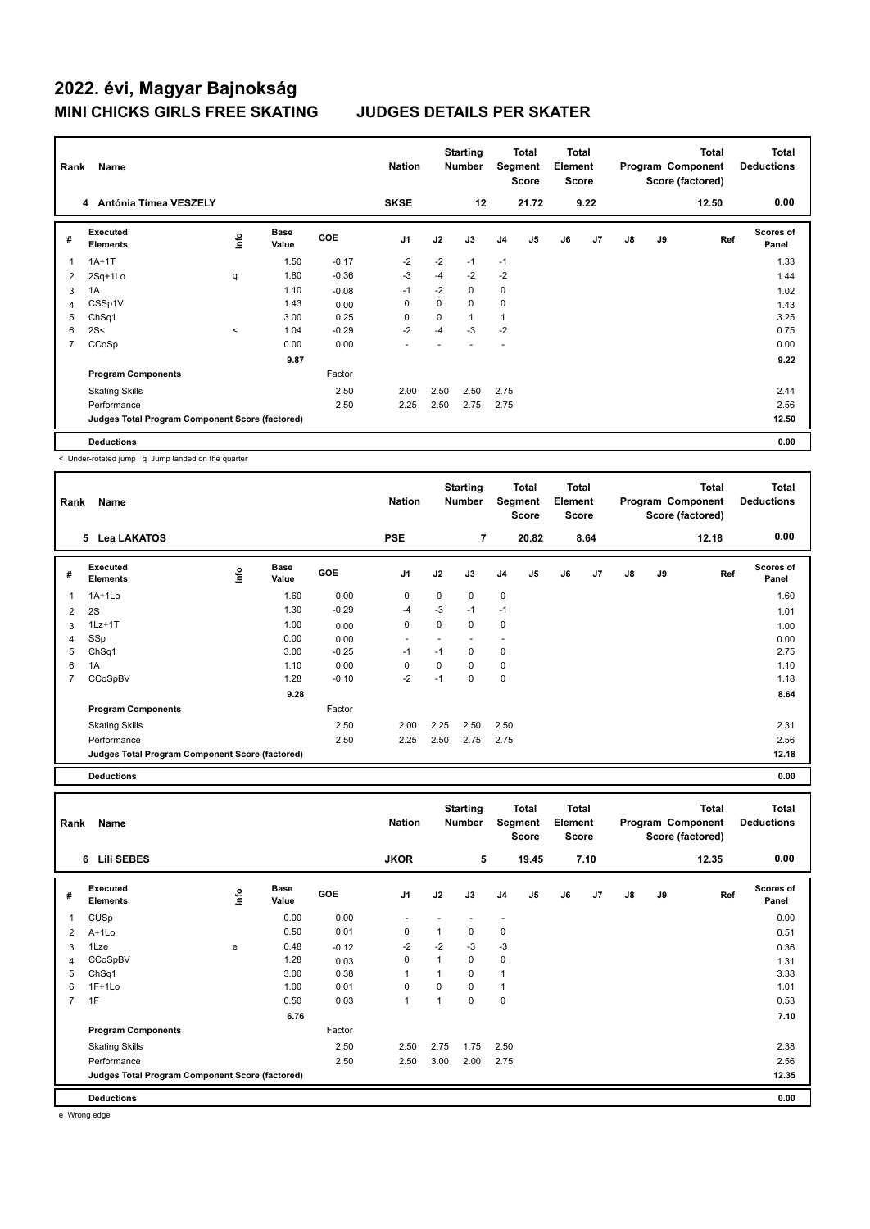| Rank                    | Name                                            |         |                      |            | <b>Nation</b>  |             | <b>Starting</b><br><b>Number</b> |                | <b>Total</b><br>Segment<br><b>Score</b> | <b>Total</b><br>Element<br><b>Score</b> |                |               |    | Total<br>Program Component<br>Score (factored) | <b>Total</b><br><b>Deductions</b> |
|-------------------------|-------------------------------------------------|---------|----------------------|------------|----------------|-------------|----------------------------------|----------------|-----------------------------------------|-----------------------------------------|----------------|---------------|----|------------------------------------------------|-----------------------------------|
|                         | Antónia Tímea VESZELY<br>4                      |         |                      |            | <b>SKSE</b>    |             | 12                               |                | 21.72                                   |                                         | 9.22           |               |    | 12.50                                          | 0.00                              |
| #                       | <b>Executed</b><br><b>Elements</b>              | ۱nfo    | <b>Base</b><br>Value | <b>GOE</b> | J <sub>1</sub> | J2          | J3                               | J <sub>4</sub> | J5                                      | J6                                      | J <sub>7</sub> | $\mathsf{J}8$ | J9 | Ref                                            | Scores of<br>Panel                |
| $\overline{\mathbf{1}}$ | $1A+1T$                                         |         | 1.50                 | $-0.17$    | $-2$           | $-2$        | $-1$                             | $-1$           |                                         |                                         |                |               |    |                                                | 1.33                              |
| 2                       | 2Sq+1Lo                                         | q       | 1.80                 | $-0.36$    | -3             | $-4$        | $-2$                             | $-2$           |                                         |                                         |                |               |    |                                                | 1.44                              |
| 3                       | 1A                                              |         | 1.10                 | $-0.08$    | $-1$           | $-2$        | 0                                | $\mathbf 0$    |                                         |                                         |                |               |    |                                                | 1.02                              |
| 4                       | CSSp1V                                          |         | 1.43                 | 0.00       | 0              | $\mathbf 0$ | $\Omega$                         | $\mathbf 0$    |                                         |                                         |                |               |    |                                                | 1.43                              |
| 5                       | ChSq1                                           |         | 3.00                 | 0.25       | $\mathbf 0$    | 0           | 1                                | $\overline{1}$ |                                         |                                         |                |               |    |                                                | 3.25                              |
| 6                       | 2S<                                             | $\prec$ | 1.04                 | $-0.29$    | $-2$           | -4          | $-3$                             | $-2$           |                                         |                                         |                |               |    |                                                | 0.75                              |
| $\overline{7}$          | CCoSp                                           |         | 0.00                 | 0.00       | ٠              |             |                                  | ٠              |                                         |                                         |                |               |    |                                                | 0.00                              |
|                         |                                                 |         | 9.87                 |            |                |             |                                  |                |                                         |                                         |                |               |    |                                                | 9.22                              |
|                         | <b>Program Components</b>                       |         |                      | Factor     |                |             |                                  |                |                                         |                                         |                |               |    |                                                |                                   |
|                         | <b>Skating Skills</b>                           |         |                      | 2.50       | 2.00           | 2.50        | 2.50                             | 2.75           |                                         |                                         |                |               |    |                                                | 2.44                              |
|                         | Performance                                     |         |                      | 2.50       | 2.25           | 2.50        | 2.75                             | 2.75           |                                         |                                         |                |               |    |                                                | 2.56                              |
|                         | Judges Total Program Component Score (factored) |         |                      |            |                |             |                                  |                |                                         |                                         |                |               |    |                                                | 12.50                             |
|                         | <b>Deductions</b>                               |         |                      |            |                |             |                                  |                |                                         |                                         |                |               |    |                                                | 0.00                              |

< Under-rotated jump q Jump landed on the quarter

| Rank           | Name                                            |      |                      |            | <b>Nation</b>  |      | <b>Starting</b><br><b>Number</b> |                | <b>Total</b><br>Segment<br><b>Score</b> | <b>Total</b><br>Element<br><b>Score</b> |      |    |    | <b>Total</b><br>Program Component<br>Score (factored) | <b>Total</b><br><b>Deductions</b> |
|----------------|-------------------------------------------------|------|----------------------|------------|----------------|------|----------------------------------|----------------|-----------------------------------------|-----------------------------------------|------|----|----|-------------------------------------------------------|-----------------------------------|
|                | 5 Lea LAKATOS                                   |      |                      |            | <b>PSE</b>     |      | $\overline{7}$                   |                | 20.82                                   |                                         | 8.64 |    |    | 12.18                                                 | 0.00                              |
| #              | Executed<br><b>Elements</b>                     | ١mfo | <b>Base</b><br>Value | <b>GOE</b> | J <sub>1</sub> | J2   | J3                               | J <sub>4</sub> | J <sub>5</sub>                          | J6                                      | J7   | J8 | J9 | Ref                                                   | Scores of<br>Panel                |
| 1              | 1A+1Lo                                          |      | 1.60                 | 0.00       | 0              | 0    | 0                                | $\mathbf 0$    |                                         |                                         |      |    |    |                                                       | 1.60                              |
| 2              | 2S                                              |      | 1.30                 | $-0.29$    | $-4$           | $-3$ | $-1$                             | $-1$           |                                         |                                         |      |    |    |                                                       | 1.01                              |
| 3              | $1Lz+1T$                                        |      | 1.00                 | 0.00       | 0              | 0    | 0                                | $\mathbf 0$    |                                         |                                         |      |    |    |                                                       | 1.00                              |
| 4              | SSp                                             |      | 0.00                 | 0.00       |                |      |                                  |                |                                         |                                         |      |    |    |                                                       | 0.00                              |
| 5              | ChSq1                                           |      | 3.00                 | $-0.25$    | $-1$           | $-1$ | 0                                | 0              |                                         |                                         |      |    |    |                                                       | 2.75                              |
| 6              | 1A                                              |      | 1.10                 | 0.00       | 0              | 0    | 0                                | $\mathbf 0$    |                                         |                                         |      |    |    |                                                       | 1.10                              |
| $\overline{7}$ | CCoSpBV                                         |      | 1.28                 | $-0.10$    | $-2$           | $-1$ | 0                                | $\mathbf 0$    |                                         |                                         |      |    |    |                                                       | 1.18                              |
|                |                                                 |      | 9.28                 |            |                |      |                                  |                |                                         |                                         |      |    |    |                                                       | 8.64                              |
|                | <b>Program Components</b>                       |      |                      | Factor     |                |      |                                  |                |                                         |                                         |      |    |    |                                                       |                                   |
|                | <b>Skating Skills</b>                           |      |                      | 2.50       | 2.00           | 2.25 | 2.50                             | 2.50           |                                         |                                         |      |    |    |                                                       | 2.31                              |
|                | Performance                                     |      |                      | 2.50       | 2.25           | 2.50 | 2.75                             | 2.75           |                                         |                                         |      |    |    |                                                       | 2.56                              |
|                | Judges Total Program Component Score (factored) |      |                      |            |                |      |                                  |                |                                         |                                         |      |    |    |                                                       | 12.18                             |
|                | <b>Deductions</b>                               |      |                      |            |                |      |                                  |                |                                         |                                         |      |    |    |                                                       | 0.00                              |

| Rank | Name                                            |      |                      |            | <b>Nation</b>  |              | <b>Starting</b><br>Number |                | <b>Total</b><br>Segment<br><b>Score</b> | <b>Total</b><br>Element<br><b>Score</b> |      |               |    | <b>Total</b><br>Program Component<br>Score (factored) | <b>Total</b><br><b>Deductions</b> |
|------|-------------------------------------------------|------|----------------------|------------|----------------|--------------|---------------------------|----------------|-----------------------------------------|-----------------------------------------|------|---------------|----|-------------------------------------------------------|-----------------------------------|
|      | 6 Lili SEBES                                    |      |                      |            | <b>JKOR</b>    |              | 5                         |                | 19.45                                   |                                         | 7.10 |               |    | 12.35                                                 | 0.00                              |
| #    | Executed<br><b>Elements</b>                     | ١nf٥ | <b>Base</b><br>Value | <b>GOE</b> | J <sub>1</sub> | J2           | J3                        | J <sub>4</sub> | J <sub>5</sub>                          | J6                                      | J7   | $\mathsf{J}8$ | J9 | Ref                                                   | Scores of<br>Panel                |
| 1    | CUSp                                            |      | 0.00                 | 0.00       |                |              |                           | ٠              |                                         |                                         |      |               |    |                                                       | 0.00                              |
| 2    | $A+1L0$                                         |      | 0.50                 | 0.01       | 0              | 1            | $\mathbf 0$               | 0              |                                         |                                         |      |               |    |                                                       | 0.51                              |
| 3    | 1Lze                                            | e    | 0.48                 | $-0.12$    | $-2$           | $-2$         | $-3$                      | $-3$           |                                         |                                         |      |               |    |                                                       | 0.36                              |
| 4    | CCoSpBV                                         |      | 1.28                 | 0.03       | $\mathbf 0$    | $\mathbf{1}$ | $\mathbf 0$               | $\pmb{0}$      |                                         |                                         |      |               |    |                                                       | 1.31                              |
| 5    | ChSq1                                           |      | 3.00                 | 0.38       |                | 1            | 0                         | $\overline{1}$ |                                         |                                         |      |               |    |                                                       | 3.38                              |
| 6    | $1F+1Lo$                                        |      | 1.00                 | 0.01       | $\Omega$       | $\Omega$     | $\mathbf 0$               | $\overline{1}$ |                                         |                                         |      |               |    |                                                       | 1.01                              |
| 7    | 1F                                              |      | 0.50                 | 0.03       |                | 1            | 0                         | 0              |                                         |                                         |      |               |    |                                                       | 0.53                              |
|      |                                                 |      | 6.76                 |            |                |              |                           |                |                                         |                                         |      |               |    |                                                       | 7.10                              |
|      | <b>Program Components</b>                       |      |                      | Factor     |                |              |                           |                |                                         |                                         |      |               |    |                                                       |                                   |
|      | <b>Skating Skills</b>                           |      |                      | 2.50       | 2.50           | 2.75         | 1.75                      | 2.50           |                                         |                                         |      |               |    |                                                       | 2.38                              |
|      | Performance                                     |      |                      | 2.50       | 2.50           | 3.00         | 2.00                      | 2.75           |                                         |                                         |      |               |    |                                                       | 2.56                              |
|      | Judges Total Program Component Score (factored) |      |                      |            |                |              |                           |                |                                         |                                         |      |               |    |                                                       | 12.35                             |
|      | <b>Deductions</b>                               |      |                      |            |                |              |                           |                |                                         |                                         |      |               |    |                                                       | 0.00                              |

e Wrong edge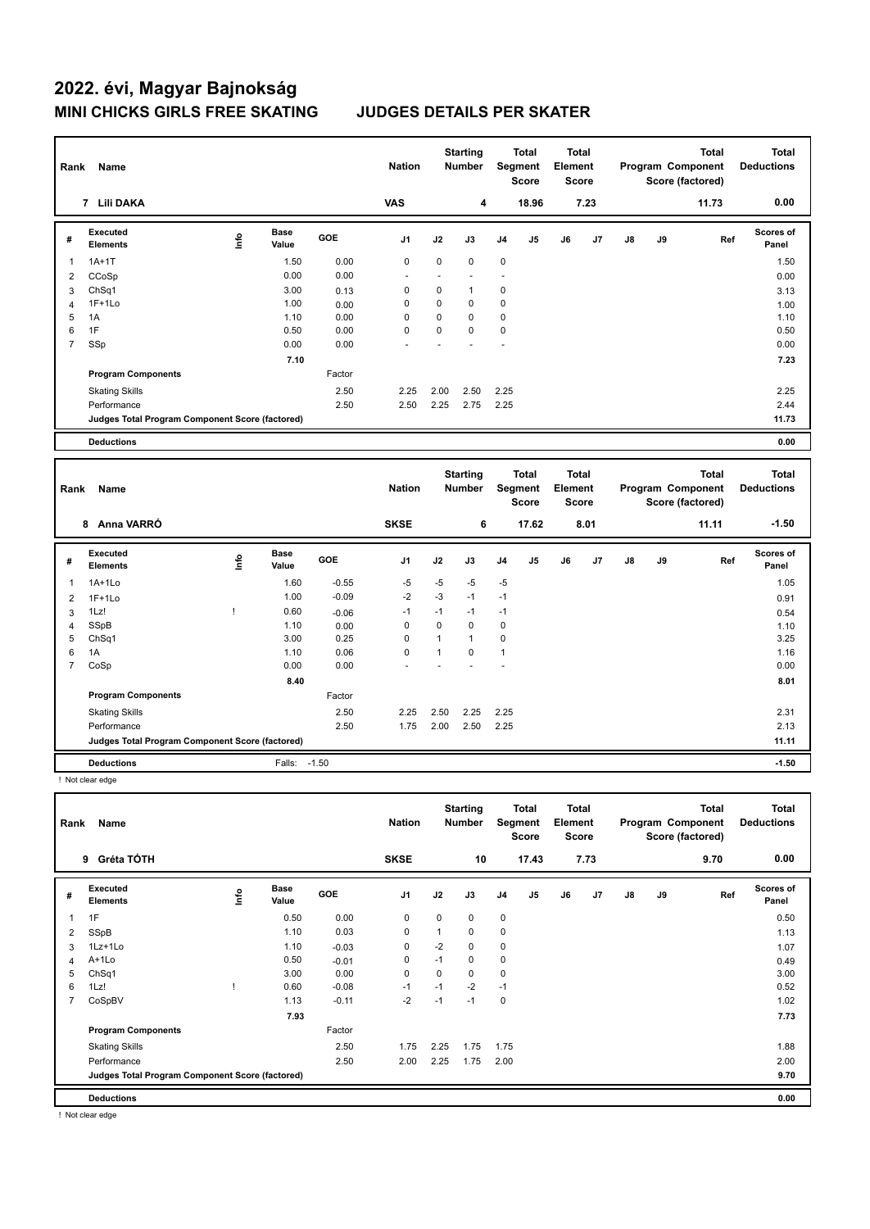| Rank           | Name                                            |       |                      |         | <b>Nation</b> |                      | <b>Starting</b><br><b>Number</b> |                      | <b>Total</b><br>Segment<br><b>Score</b> | Total<br>Element<br><b>Score</b>        |      |               |    | <b>Total</b><br>Program Component<br>Score (factored) |     | <b>Total</b><br><b>Deductions</b> |
|----------------|-------------------------------------------------|-------|----------------------|---------|---------------|----------------------|----------------------------------|----------------------|-----------------------------------------|-----------------------------------------|------|---------------|----|-------------------------------------------------------|-----|-----------------------------------|
|                | 7 Lili DAKA                                     |       |                      |         | <b>VAS</b>    |                      | 4                                |                      | 18.96                                   |                                         | 7.23 |               |    | 11.73                                                 |     | 0.00                              |
| #              | <b>Executed</b><br><b>Elements</b>              | lnfo  | <b>Base</b><br>Value | GOE     | J1            | J2                   | J3                               | J <sub>4</sub>       | J5                                      | J6                                      | J7   | $\mathsf{J}8$ | J9 |                                                       | Ref | Scores of<br>Panel                |
| $\overline{1}$ | $1A+1T$                                         |       | 1.50                 | 0.00    | $\mathbf 0$   | 0                    | $\mathbf 0$                      | 0                    |                                         |                                         |      |               |    |                                                       |     | 1.50                              |
| $\overline{2}$ | CCoSp                                           |       | 0.00                 | 0.00    |               | $\ddot{\phantom{1}}$ |                                  | $\ddot{\phantom{1}}$ |                                         |                                         |      |               |    |                                                       |     | 0.00                              |
| 3              | ChSq1                                           |       | 3.00                 | 0.13    | 0             | 0                    | $\mathbf{1}$                     | 0                    |                                         |                                         |      |               |    |                                                       |     | 3.13                              |
| $\overline{4}$ | $1F+1Lo$                                        |       | 1.00                 | 0.00    | $\mathbf 0$   | 0                    | $\mathbf 0$                      | $\mathbf 0$          |                                         |                                         |      |               |    |                                                       |     | 1.00                              |
| 5              | 1A                                              |       | 1.10                 | 0.00    | $\Omega$      | 0                    | $\Omega$                         | $\mathbf 0$          |                                         |                                         |      |               |    |                                                       |     | 1.10                              |
| 6              | 1F                                              |       | 0.50                 | 0.00    | $\mathbf 0$   | 0                    | $\mathbf 0$                      | $\mathbf 0$          |                                         |                                         |      |               |    |                                                       |     | 0.50                              |
| $\overline{7}$ | SSp                                             |       | 0.00                 | 0.00    |               |                      |                                  |                      |                                         |                                         |      |               |    |                                                       |     | 0.00                              |
|                |                                                 |       | 7.10                 |         |               |                      |                                  |                      |                                         |                                         |      |               |    |                                                       |     | 7.23                              |
|                | <b>Program Components</b>                       |       |                      | Factor  |               |                      |                                  |                      |                                         |                                         |      |               |    |                                                       |     |                                   |
|                | <b>Skating Skills</b>                           |       |                      | 2.50    | 2.25          | 2.00                 | 2.50                             | 2.25                 |                                         |                                         |      |               |    |                                                       |     | 2.25                              |
|                | Performance                                     |       |                      | 2.50    | 2.50          | 2.25                 | 2.75                             | 2.25                 |                                         |                                         |      |               |    |                                                       |     | 2.44                              |
|                | Judges Total Program Component Score (factored) |       |                      |         |               |                      |                                  |                      |                                         |                                         |      |               |    |                                                       |     | 11.73                             |
|                | <b>Deductions</b>                               |       |                      |         |               |                      |                                  |                      |                                         |                                         |      |               |    |                                                       |     | 0.00                              |
|                |                                                 |       |                      |         |               |                      |                                  |                      |                                         |                                         |      |               |    |                                                       |     |                                   |
|                |                                                 |       |                      |         |               |                      |                                  |                      |                                         |                                         |      |               |    |                                                       |     |                                   |
| Rank           | Name                                            |       |                      |         | <b>Nation</b> |                      | <b>Starting</b><br><b>Number</b> |                      | <b>Total</b><br>Segment<br><b>Score</b> | <b>Total</b><br>Element<br><b>Score</b> |      |               |    | <b>Total</b><br>Program Component<br>Score (factored) |     | <b>Total</b><br><b>Deductions</b> |
|                | 8 Anna VARRÓ                                    |       |                      |         | <b>SKSE</b>   |                      | 6                                |                      | 17.62                                   |                                         | 8.01 |               |    | 11.11                                                 |     | $-1.50$                           |
| #              | Executed<br><b>Elements</b>                     | Linfo | <b>Base</b><br>Value | GOE     | J1            | J2                   | J3                               | J4                   | J5                                      | J6                                      | J7   | $\mathsf{J}8$ | J9 |                                                       | Ref | Scores of<br>Panel                |
| 1              | $1A+1Lo$                                        |       | 1.60                 | $-0.55$ | $-5$          | $-5$                 | -5                               | $-5$                 |                                         |                                         |      |               |    |                                                       |     | 1.05                              |
| $\overline{2}$ | $1F+1Lo$                                        |       | 1.00                 | $-0.09$ | $-2$          | $-3$                 | $-1$                             | $-1$                 |                                         |                                         |      |               |    |                                                       |     | 0.91                              |
| 3              | 1Lz!                                            | Ţ     | 0.60                 | $-0.06$ | $-1$          | $-1$                 | $-1$                             | $-1$                 |                                         |                                         |      |               |    |                                                       |     | 0.54                              |
| $\overline{4}$ | SSpB                                            |       | 1.10                 | 0.00    | $\mathbf 0$   | 0                    | $\mathbf 0$                      | $\mathbf 0$          |                                         |                                         |      |               |    |                                                       |     | 1.10                              |
| 5              | ChSq1                                           |       | 3.00                 | 0.25    | $\mathbf 0$   | $\mathbf{1}$         | $\mathbf{1}$                     | $\mathbf 0$          |                                         |                                         |      |               |    |                                                       |     | 3.25                              |
| $\,6$          | 1A                                              |       | 1.10                 | 0.06    | $\mathbf 0$   | $\mathbf{1}$         | $\mathbf 0$                      | $\mathbf{1}$         |                                         |                                         |      |               |    |                                                       |     | 1.16                              |
| $\overline{7}$ | CoSp                                            |       | 0.00                 | 0.00    |               |                      |                                  |                      |                                         |                                         |      |               |    |                                                       |     | 0.00                              |
|                |                                                 |       | 8.40                 |         |               |                      |                                  |                      |                                         |                                         |      |               |    |                                                       |     | 8.01                              |
|                | <b>Program Components</b>                       |       |                      | Factor  |               |                      |                                  |                      |                                         |                                         |      |               |    |                                                       |     |                                   |
|                | <b>Skating Skills</b>                           |       |                      | 2.50    | 2.25          | 2.50                 | 2.25                             | 2.25                 |                                         |                                         |      |               |    |                                                       |     | 2.31                              |
|                | Performance                                     |       |                      | 2.50    | 1.75          | 2.00                 | 2.50                             | 2.25                 |                                         |                                         |      |               |    |                                                       |     | 2.13                              |
|                | Judges Total Program Component Score (factored) |       |                      |         |               |                      |                                  |                      |                                         |                                         |      |               |    |                                                       |     | 11.11                             |

! Not clear edge

| Rank           | Name                                            |      |                      |            | <b>Nation</b>  |      | <b>Starting</b><br><b>Number</b> |                | <b>Total</b><br>Segment<br><b>Score</b> | <b>Total</b><br>Element<br><b>Score</b> |      |    |    | <b>Total</b><br>Program Component<br>Score (factored) | Total<br><b>Deductions</b> |
|----------------|-------------------------------------------------|------|----------------------|------------|----------------|------|----------------------------------|----------------|-----------------------------------------|-----------------------------------------|------|----|----|-------------------------------------------------------|----------------------------|
|                | Gréta TÓTH<br>9                                 |      |                      |            | <b>SKSE</b>    |      | 10                               |                | 17.43                                   |                                         | 7.73 |    |    | 9.70                                                  | 0.00                       |
| #              | Executed<br><b>Elements</b>                     | ١nf٥ | <b>Base</b><br>Value | <b>GOE</b> | J <sub>1</sub> | J2   | J3                               | J <sub>4</sub> | J5                                      | J6                                      | J7   | J8 | J9 | Ref                                                   | Scores of<br>Panel         |
|                | 1F                                              |      | 0.50                 | 0.00       | 0              | 0    | 0                                | $\mathbf 0$    |                                         |                                         |      |    |    |                                                       | 0.50                       |
| $\overline{2}$ | SSpB                                            |      | 1.10                 | 0.03       | 0              | 1    | 0                                | $\mathbf 0$    |                                         |                                         |      |    |    |                                                       | 1.13                       |
| 3              | 1Lz+1Lo                                         |      | 1.10                 | $-0.03$    | 0              | $-2$ | 0                                | 0              |                                         |                                         |      |    |    |                                                       | 1.07                       |
| 4              | A+1Lo                                           |      | 0.50                 | $-0.01$    | $\mathbf 0$    | $-1$ | 0                                | $\mathbf 0$    |                                         |                                         |      |    |    |                                                       | 0.49                       |
| 5              | ChSq1                                           |      | 3.00                 | 0.00       | 0              | 0    | 0                                | 0              |                                         |                                         |      |    |    |                                                       | 3.00                       |
| 6              | 1Lz!                                            |      | 0.60                 | $-0.08$    | -1             | $-1$ | $-2$                             | $-1$           |                                         |                                         |      |    |    |                                                       | 0.52                       |
| 7              | CoSpBV                                          |      | 1.13                 | $-0.11$    | $-2$           | $-1$ | $-1$                             | 0              |                                         |                                         |      |    |    |                                                       | 1.02                       |
|                |                                                 |      | 7.93                 |            |                |      |                                  |                |                                         |                                         |      |    |    |                                                       | 7.73                       |
|                | <b>Program Components</b>                       |      |                      | Factor     |                |      |                                  |                |                                         |                                         |      |    |    |                                                       |                            |
|                | <b>Skating Skills</b>                           |      |                      | 2.50       | 1.75           | 2.25 | 1.75                             | 1.75           |                                         |                                         |      |    |    |                                                       | 1.88                       |
|                | Performance                                     |      |                      | 2.50       | 2.00           | 2.25 | 1.75                             | 2.00           |                                         |                                         |      |    |    |                                                       | 2.00                       |
|                | Judges Total Program Component Score (factored) |      |                      |            |                |      |                                  |                |                                         |                                         |      |    |    |                                                       | 9.70                       |
|                | <b>Deductions</b>                               |      |                      |            |                |      |                                  |                |                                         |                                         |      |    |    |                                                       | 0.00                       |

! Not clear edge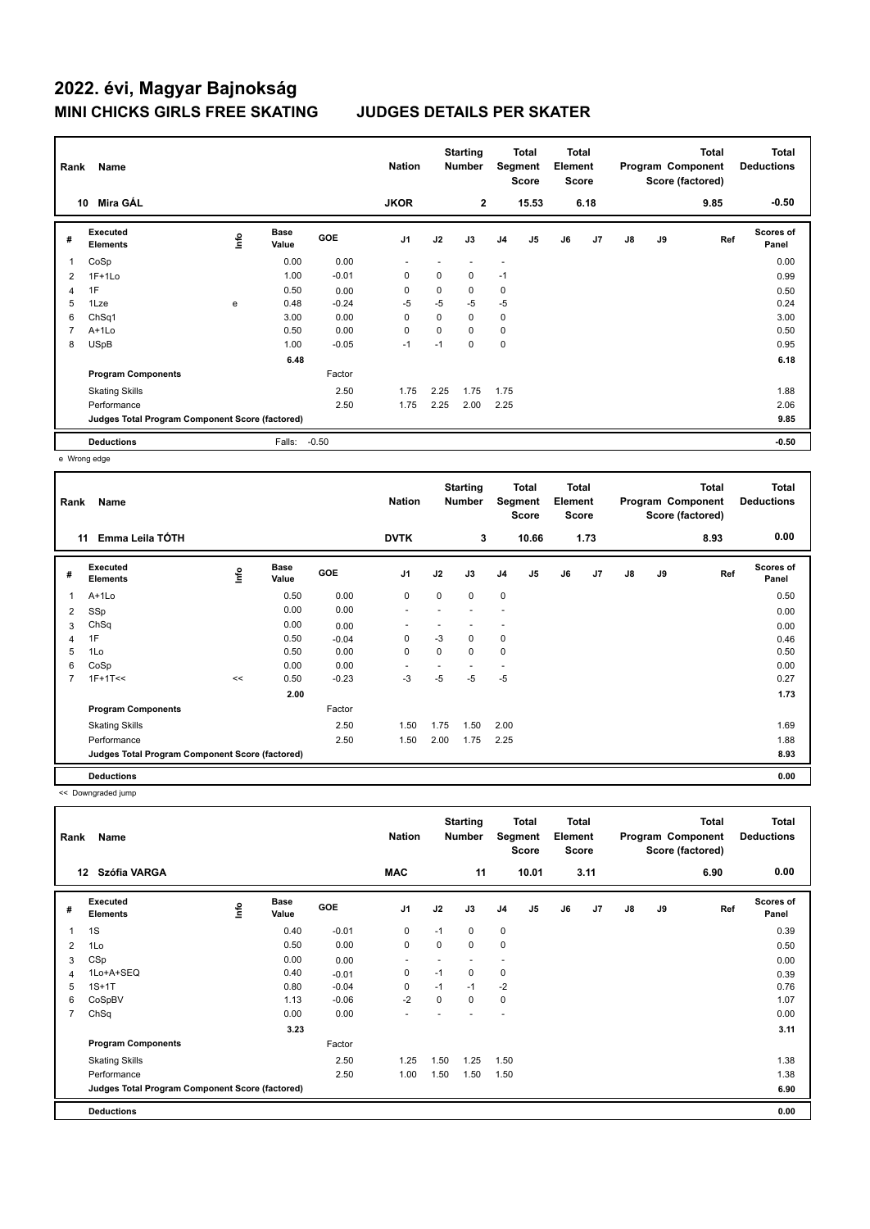| Rank           | Name                                            |             |                      |         | <b>Nation</b>  |      | <b>Starting</b><br><b>Number</b> |                          | Total<br>Segment<br>Score | <b>Total</b><br>Element<br><b>Score</b> |      |               |    | <b>Total</b><br>Program Component<br>Score (factored) | <b>Total</b><br><b>Deductions</b> |
|----------------|-------------------------------------------------|-------------|----------------------|---------|----------------|------|----------------------------------|--------------------------|---------------------------|-----------------------------------------|------|---------------|----|-------------------------------------------------------|-----------------------------------|
|                | Mira GÁL<br>10                                  |             |                      |         | <b>JKOR</b>    |      | $\overline{2}$                   |                          | 15.53                     |                                         | 6.18 |               |    | 9.85                                                  | $-0.50$                           |
| #              | Executed<br><b>Elements</b>                     | <b>Info</b> | <b>Base</b><br>Value | GOE     | J <sub>1</sub> | J2   | J3                               | J <sub>4</sub>           | J <sub>5</sub>            | J6                                      | J7   | $\mathsf{J}8$ | J9 | Ref                                                   | <b>Scores of</b><br>Panel         |
|                | CoSp                                            |             | 0.00                 | 0.00    | $\overline{a}$ |      |                                  | $\overline{\phantom{a}}$ |                           |                                         |      |               |    |                                                       | 0.00                              |
| $\overline{2}$ | $1F+1Lo$                                        |             | 1.00                 | $-0.01$ | 0              | 0    | $\mathbf 0$                      | $-1$                     |                           |                                         |      |               |    |                                                       | 0.99                              |
| 4              | 1F                                              |             | 0.50                 | 0.00    | 0              | 0    | $\mathbf 0$                      | 0                        |                           |                                         |      |               |    |                                                       | 0.50                              |
| 5              | 1Lze                                            | e           | 0.48                 | $-0.24$ | $-5$           | $-5$ | $-5$                             | $-5$                     |                           |                                         |      |               |    |                                                       | 0.24                              |
| 6              | ChSq1                                           |             | 3.00                 | 0.00    | 0              | 0    | 0                                | 0                        |                           |                                         |      |               |    |                                                       | 3.00                              |
| 7              | $A+1Lo$                                         |             | 0.50                 | 0.00    | 0              | 0    | 0                                | 0                        |                           |                                         |      |               |    |                                                       | 0.50                              |
| 8              | <b>USpB</b>                                     |             | 1.00                 | $-0.05$ | $-1$           | $-1$ | $\mathbf 0$                      | $\mathbf 0$              |                           |                                         |      |               |    |                                                       | 0.95                              |
|                |                                                 |             | 6.48                 |         |                |      |                                  |                          |                           |                                         |      |               |    |                                                       | 6.18                              |
|                | <b>Program Components</b>                       |             |                      | Factor  |                |      |                                  |                          |                           |                                         |      |               |    |                                                       |                                   |
|                | <b>Skating Skills</b>                           |             |                      | 2.50    | 1.75           | 2.25 | 1.75                             | 1.75                     |                           |                                         |      |               |    |                                                       | 1.88                              |
|                | Performance                                     |             |                      | 2.50    | 1.75           | 2.25 | 2.00                             | 2.25                     |                           |                                         |      |               |    |                                                       | 2.06                              |
|                | Judges Total Program Component Score (factored) |             |                      |         |                |      |                                  |                          |                           |                                         |      |               |    |                                                       | 9.85                              |
|                | <b>Deductions</b>                               |             | Falls:               | $-0.50$ |                |      |                                  |                          |                           |                                         |      |               |    |                                                       | $-0.50$                           |

e Wrong edge

| Rank | Name                                            |      |                      |            | <b>Nation</b>            |      | <b>Starting</b><br><b>Number</b> | Segment        | <b>Total</b><br><b>Score</b> | <b>Total</b><br>Element<br><b>Score</b> |      |               |    | <b>Total</b><br>Program Component<br>Score (factored) | Total<br><b>Deductions</b> |
|------|-------------------------------------------------|------|----------------------|------------|--------------------------|------|----------------------------------|----------------|------------------------------|-----------------------------------------|------|---------------|----|-------------------------------------------------------|----------------------------|
|      | Emma Leila TÓTH<br>11                           |      |                      |            | <b>DVTK</b>              |      | 3                                |                | 10.66                        |                                         | 1.73 |               |    | 8.93                                                  | 0.00                       |
| #    | Executed<br><b>Elements</b>                     | lnfo | <b>Base</b><br>Value | <b>GOE</b> | J1                       | J2   | J3                               | J <sub>4</sub> | J5                           | J6                                      | J7   | $\mathsf{J}8$ | J9 | Ref                                                   | Scores of<br>Panel         |
| 1    | A+1Lo                                           |      | 0.50                 | 0.00       | 0                        | 0    | $\mathbf 0$                      | $\mathbf 0$    |                              |                                         |      |               |    |                                                       | 0.50                       |
| 2    | SSp                                             |      | 0.00                 | 0.00       | $\overline{\phantom{a}}$ |      |                                  | ٠              |                              |                                         |      |               |    |                                                       | 0.00                       |
| 3    | ChSq                                            |      | 0.00                 | 0.00       |                          |      |                                  | ٠              |                              |                                         |      |               |    |                                                       | 0.00                       |
| 4    | 1F                                              |      | 0.50                 | $-0.04$    | 0                        | $-3$ | 0                                | 0              |                              |                                         |      |               |    |                                                       | 0.46                       |
| 5    | 1Lo                                             |      | 0.50                 | 0.00       | $\mathbf 0$              | 0    | 0                                | $\mathbf 0$    |                              |                                         |      |               |    |                                                       | 0.50                       |
| 6    | CoSp                                            |      | 0.00                 | 0.00       |                          |      |                                  | ۰              |                              |                                         |      |               |    |                                                       | 0.00                       |
| 7    | $1F+1T<<$                                       | <<   | 0.50                 | $-0.23$    | $-3$                     | $-5$ | $-5$                             | $-5$           |                              |                                         |      |               |    |                                                       | 0.27                       |
|      |                                                 |      | 2.00                 |            |                          |      |                                  |                |                              |                                         |      |               |    |                                                       | 1.73                       |
|      | <b>Program Components</b>                       |      |                      | Factor     |                          |      |                                  |                |                              |                                         |      |               |    |                                                       |                            |
|      | <b>Skating Skills</b>                           |      |                      | 2.50       | 1.50                     | 1.75 | 1.50                             | 2.00           |                              |                                         |      |               |    |                                                       | 1.69                       |
|      | Performance                                     |      |                      | 2.50       | 1.50                     | 2.00 | 1.75                             | 2.25           |                              |                                         |      |               |    |                                                       | 1.88                       |
|      | Judges Total Program Component Score (factored) |      |                      |            |                          |      |                                  |                |                              |                                         |      |               |    |                                                       | 8.93                       |
|      | <b>Deductions</b>                               |      |                      |            |                          |      |                                  |                |                              |                                         |      |               |    |                                                       | 0.00                       |

<< Downgraded jump

| Rank           | Name                                            |       |                      |         | <b>Nation</b>            |      | <b>Starting</b><br><b>Number</b> |                | <b>Total</b><br>Segment<br><b>Score</b> | <b>Total</b><br>Element<br><b>Score</b> |      |               |    | <b>Total</b><br>Program Component<br>Score (factored) | <b>Total</b><br><b>Deductions</b> |
|----------------|-------------------------------------------------|-------|----------------------|---------|--------------------------|------|----------------------------------|----------------|-----------------------------------------|-----------------------------------------|------|---------------|----|-------------------------------------------------------|-----------------------------------|
|                | Szófia VARGA<br>12 <sup>12</sup>                |       |                      |         | <b>MAC</b>               |      | 11                               |                | 10.01                                   |                                         | 3.11 |               |    | 6.90                                                  | 0.00                              |
| #              | Executed<br><b>Elements</b>                     | Linfo | <b>Base</b><br>Value | GOE     | J <sub>1</sub>           | J2   | J3                               | J <sub>4</sub> | J <sub>5</sub>                          | J6                                      | J7   | $\mathsf{J}8$ | J9 | Ref                                                   | <b>Scores of</b><br>Panel         |
|                | 1S                                              |       | 0.40                 | $-0.01$ | 0                        | $-1$ | 0                                | $\mathbf 0$    |                                         |                                         |      |               |    |                                                       | 0.39                              |
| 2              | 1Lo                                             |       | 0.50                 | 0.00    | $\mathbf 0$              | 0    | 0                                | $\mathbf 0$    |                                         |                                         |      |               |    |                                                       | 0.50                              |
| 3              | CSp                                             |       | 0.00                 | 0.00    | $\overline{\phantom{a}}$ |      |                                  |                |                                         |                                         |      |               |    |                                                       | 0.00                              |
| 4              | 1Lo+A+SEQ                                       |       | 0.40                 | $-0.01$ | 0                        | $-1$ | 0                                | $\mathbf 0$    |                                         |                                         |      |               |    |                                                       | 0.39                              |
| 5              | $1S+1T$                                         |       | 0.80                 | $-0.04$ | 0                        | $-1$ | $-1$                             | $-2$           |                                         |                                         |      |               |    |                                                       | 0.76                              |
| 6              | CoSpBV                                          |       | 1.13                 | $-0.06$ | $-2$                     | 0    | 0                                | 0              |                                         |                                         |      |               |    |                                                       | 1.07                              |
| $\overline{7}$ | ChSq                                            |       | 0.00                 | 0.00    | $\overline{\phantom{a}}$ |      |                                  | ٠              |                                         |                                         |      |               |    |                                                       | 0.00                              |
|                |                                                 |       | 3.23                 |         |                          |      |                                  |                |                                         |                                         |      |               |    |                                                       | 3.11                              |
|                | <b>Program Components</b>                       |       |                      | Factor  |                          |      |                                  |                |                                         |                                         |      |               |    |                                                       |                                   |
|                | <b>Skating Skills</b>                           |       |                      | 2.50    | 1.25                     | 1.50 | 1.25                             | 1.50           |                                         |                                         |      |               |    |                                                       | 1.38                              |
|                | Performance                                     |       |                      | 2.50    | 1.00                     | 1.50 | 1.50                             | 1.50           |                                         |                                         |      |               |    |                                                       | 1.38                              |
|                | Judges Total Program Component Score (factored) |       |                      |         |                          |      |                                  |                |                                         |                                         |      |               |    |                                                       | 6.90                              |
|                | <b>Deductions</b>                               |       |                      |         |                          |      |                                  |                |                                         |                                         |      |               |    |                                                       | 0.00                              |